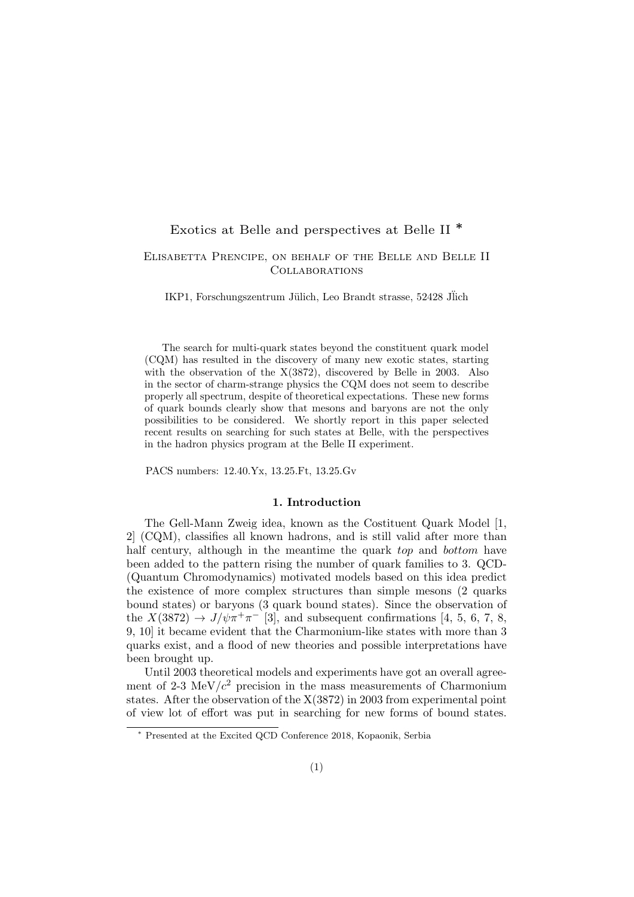# Exotics at Belle and perspectives at Belle II ∗

## Elisabetta Prencipe, on behalf of the Belle and Belle II Collaborations

IKP1, Forschungszentrum Jülich, Leo Brandt strasse, 52428 JÜch

The search for multi-quark states beyond the constituent quark model (CQM) has resulted in the discovery of many new exotic states, starting with the observation of the X(3872), discovered by Belle in 2003. Also in the sector of charm-strange physics the CQM does not seem to describe properly all spectrum, despite of theoretical expectations. These new forms of quark bounds clearly show that mesons and baryons are not the only possibilities to be considered. We shortly report in this paper selected recent results on searching for such states at Belle, with the perspectives in the hadron physics program at the Belle II experiment.

PACS numbers: 12.40.Yx, 13.25.Ft, 13.25.Gv

## 1. Introduction

The Gell-Mann Zweig idea, known as the Costituent Quark Model [1, 2] (CQM), classifies all known hadrons, and is still valid after more than half century, although in the meantime the quark top and bottom have been added to the pattern rising the number of quark families to 3. QCD- (Quantum Chromodynamics) motivated models based on this idea predict the existence of more complex structures than simple mesons (2 quarks bound states) or baryons (3 quark bound states). Since the observation of the  $X(3872) \rightarrow J/\psi \pi^+ \pi^-$  [3], and subsequent confirmations [4, 5, 6, 7, 8, 9, 10] it became evident that the Charmonium-like states with more than 3 quarks exist, and a flood of new theories and possible interpretations have been brought up.

Until 2003 theoretical models and experiments have got an overall agreement of 2-3 MeV/ $c^2$  precision in the mass measurements of Charmonium states. After the observation of the X(3872) in 2003 from experimental point of view lot of effort was put in searching for new forms of bound states.

<sup>∗</sup> Presented at the Excited QCD Conference 2018, Kopaonik, Serbia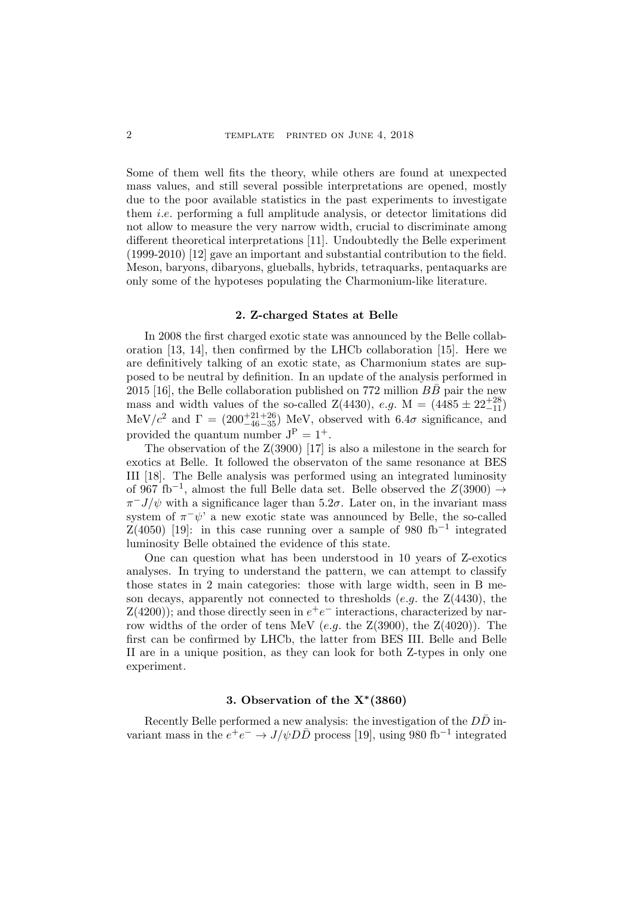Some of them well fits the theory, while others are found at unexpected mass values, and still several possible interpretations are opened, mostly due to the poor available statistics in the past experiments to investigate them i.e. performing a full amplitude analysis, or detector limitations did not allow to measure the very narrow width, crucial to discriminate among different theoretical interpretations [11]. Undoubtedly the Belle experiment (1999-2010) [12] gave an important and substantial contribution to the field. Meson, baryons, dibaryons, glueballs, hybrids, tetraquarks, pentaquarks are only some of the hypoteses populating the Charmonium-like literature.

## 2. Z-charged States at Belle

In 2008 the first charged exotic state was announced by the Belle collaboration [13, 14], then confirmed by the LHCb collaboration [15]. Here we are definitively talking of an exotic state, as Charmonium states are supposed to be neutral by definition. In an update of the analysis performed in 2015 [16], the Belle collaboration published on 772 million  $B\bar{B}$  pair the new mass and width values of the so-called Z(4430), e.g.  $M = (4485 \pm 22^{+28}_{-11})$ MeV/ $c^2$  and  $\Gamma = (200^{+21+26}_{-46-35})$  MeV, observed with 6.4 $\sigma$  significance, and provided the quantum number  $J<sup>P</sup> = 1<sup>+</sup>$ .

The observation of the Z(3900) [17] is also a milestone in the search for exotics at Belle. It followed the observaton of the same resonance at BES III [18]. The Belle analysis was performed using an integrated luminosity of 967 fb<sup>-1</sup>, almost the full Belle data set. Belle observed the  $Z(3900)$  →  $\pi^{-}J/\psi$  with a significance lager than 5.2 $\sigma$ . Later on, in the invariant mass system of  $\pi^-\psi$  a new exotic state was announced by Belle, the so-called  $Z(4050)$  [19]: in this case running over a sample of 980 fb<sup>-1</sup> integrated luminosity Belle obtained the evidence of this state.

One can question what has been understood in 10 years of Z-exotics analyses. In trying to understand the pattern, we can attempt to classify those states in 2 main categories: those with large width, seen in B meson decays, apparently not connected to thresholds  $(e.g.$  the  $Z(4430)$ , the  $Z(4200)$ ; and those directly seen in  $e^+e^-$  interactions, characterized by narrow widths of the order of tens MeV (e.g. the  $Z(3900)$ , the  $Z(4020)$ ). The first can be confirmed by LHCb, the latter from BES III. Belle and Belle II are in a unique position, as they can look for both Z-types in only one experiment.

## 3. Observation of the  $X^*(3860)$

Recently Belle performed a new analysis: the investigation of the  $D\bar{D}$  invariant mass in the  $e^+e^- \to J/\psi D\bar{D}$  process [19], using 980 fb<sup>-1</sup> integrated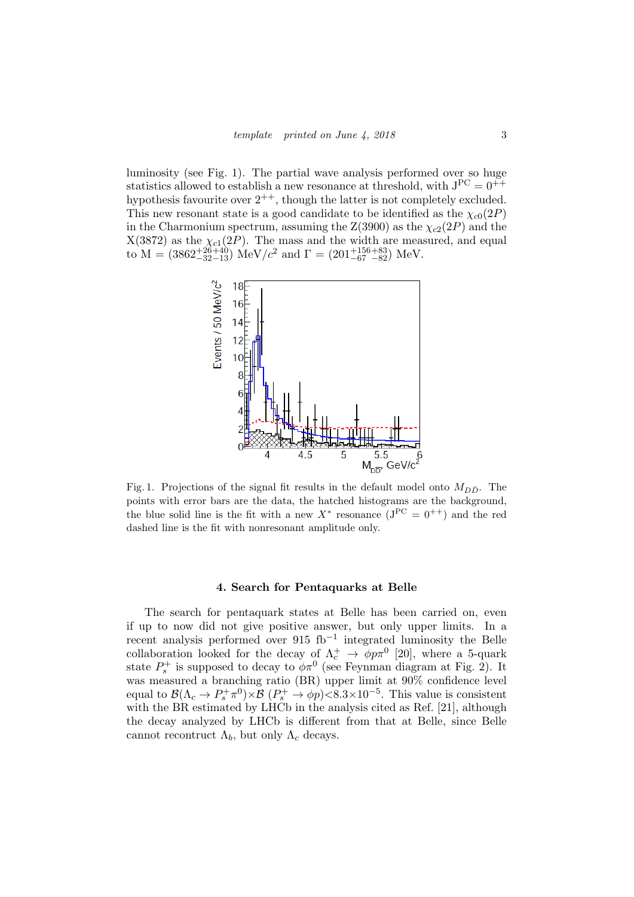luminosity (see Fig. 1). The partial wave analysis performed over so huge statistics allowed to establish a new resonance at threshold, with  $J^{PC} = 0^{++}$ hypothesis favourite over  $2^{++}$ , though the latter is not completely excluded. This new resonant state is a good candidate to be identified as the  $\chi_{c0}(2P)$ in the Charmonium spectrum, assuming the  $Z(3900)$  as the  $\chi_{c2}(2P)$  and the  $X(3872)$  as the  $\chi_{c1}(2P)$ . The mass and the width are measured, and equal to  $M = (3862^{+26+40}_{-32-13}) \text{ MeV}/c^2$  and  $\Gamma = (201^{+156+83}_{-67-82}) \text{ MeV}.$ 



Fig. 1. Projections of the signal fit results in the default model onto  $M_{D\bar{D}}$ . The points with error bars are the data, the hatched histograms are the background, the blue solid line is the fit with a new  $X^*$  resonance  $(J^{PC} = 0^{++})$  and the red dashed line is the fit with nonresonant amplitude only.

#### 4. Search for Pentaquarks at Belle

The search for pentaquark states at Belle has been carried on, even if up to now did not give positive answer, but only upper limits. In a recent analysis performed over 915 fb<sup>-1</sup> integrated luminosity the Belle collaboration looked for the decay of  $\Lambda_c^+ \rightarrow \phi p \pi^0$  [20], where a 5-quark state  $P_s^+$  is supposed to decay to  $\phi \pi^0$  (see Feynman diagram at Fig. 2). It was measured a branching ratio (BR) upper limit at 90% confidence level equal to  $\mathcal{B}(\Lambda_c \to P_s^+\pi^0) \times \mathcal{B}(P_s^+ \to \phi p) < 8.3 \times 10^{-5}$ . This value is consistent with the BR estimated by LHCb in the analysis cited as Ref. [21], although the decay analyzed by LHCb is different from that at Belle, since Belle cannot recontruct  $\Lambda_b$ , but only  $\Lambda_c$  decays.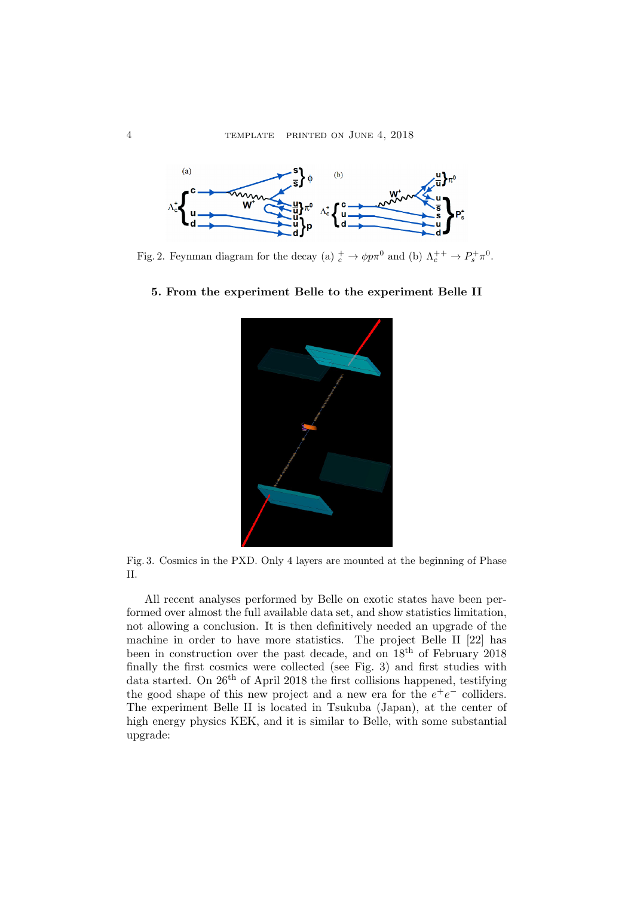

Fig. 2. Feynman diagram for the decay (a)  $_c^+ \rightarrow \phi p \pi^0$  and (b)  $\Lambda_c^{++} \rightarrow P_s^+ \pi^0$ .

### 5. From the experiment Belle to the experiment Belle II



Fig. 3. Cosmics in the PXD. Only 4 layers are mounted at the beginning of Phase II.

All recent analyses performed by Belle on exotic states have been performed over almost the full available data set, and show statistics limitation, not allowing a conclusion. It is then definitively needed an upgrade of the machine in order to have more statistics. The project Belle II [22] has been in construction over the past decade, and on  $18<sup>th</sup>$  of February 2018 finally the first cosmics were collected (see Fig. 3) and first studies with data started. On 26<sup>th</sup> of April 2018 the first collisions happened, testifying the good shape of this new project and a new era for the  $e^+e^-$  colliders. The experiment Belle II is located in Tsukuba (Japan), at the center of high energy physics KEK, and it is similar to Belle, with some substantial upgrade: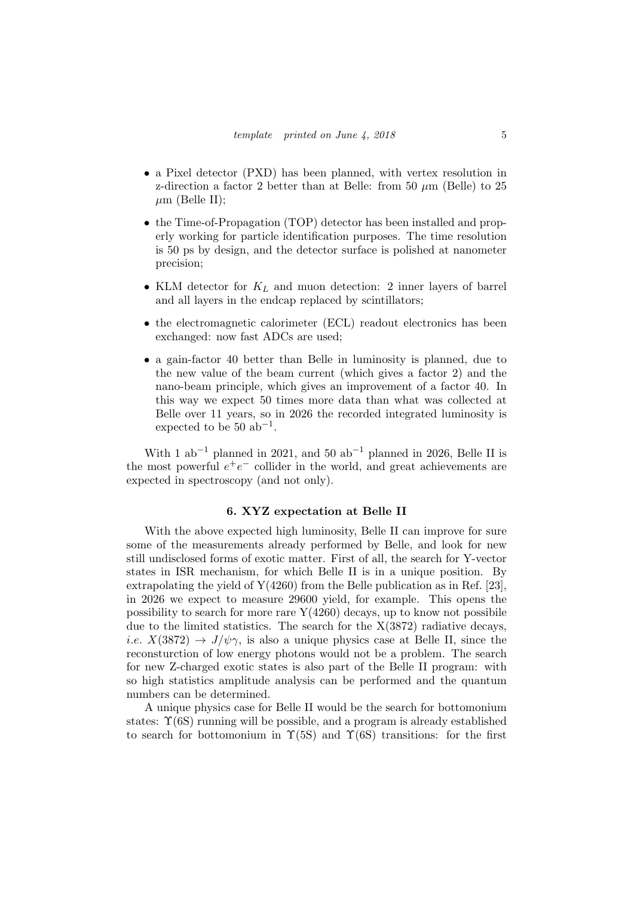- a Pixel detector (PXD) has been planned, with vertex resolution in z-direction a factor 2 better than at Belle: from 50  $\mu$ m (Belle) to 25  $\mu$ m (Belle II);
- the Time-of-Propagation (TOP) detector has been installed and properly working for particle identification purposes. The time resolution is 50 ps by design, and the detector surface is polished at nanometer precision;
- KLM detector for  $K_L$  and muon detection: 2 inner layers of barrel and all layers in the endcap replaced by scintillators;
- the electromagnetic calorimeter (ECL) readout electronics has been exchanged: now fast ADCs are used;
- a gain-factor 40 better than Belle in luminosity is planned, due to the new value of the beam current (which gives a factor 2) and the nano-beam principle, which gives an improvement of a factor 40. In this way we expect 50 times more data than what was collected at Belle over 11 years, so in 2026 the recorded integrated luminosity is expected to be  $50$  ab<sup>-1</sup>.

With 1 ab<sup>-1</sup> planned in 2021, and 50 ab<sup>-1</sup> planned in 2026, Belle II is the most powerful  $e^+e^-$  collider in the world, and great achievements are expected in spectroscopy (and not only).

## 6. XYZ expectation at Belle II

With the above expected high luminosity, Belle II can improve for sure some of the measurements already performed by Belle, and look for new still undisclosed forms of exotic matter. First of all, the search for Y-vector states in ISR mechanism, for which Belle II is in a unique position. By extrapolating the yield of  $Y(4260)$  from the Belle publication as in Ref. [23], in 2026 we expect to measure 29600 yield, for example. This opens the possibility to search for more rare  $Y(4260)$  decays, up to know not possibile due to the limited statistics. The search for the  $X(3872)$  radiative decays, *i.e.*  $X(3872) \rightarrow J/\psi \gamma$ , is also a unique physics case at Belle II, since the reconsturction of low energy photons would not be a problem. The search for new Z-charged exotic states is also part of the Belle II program: with so high statistics amplitude analysis can be performed and the quantum numbers can be determined.

A unique physics case for Belle II would be the search for bottomonium states:  $\Upsilon(6S)$  running will be possible, and a program is already established to search for bottomonium in  $\Upsilon(5S)$  and  $\Upsilon(6S)$  transitions: for the first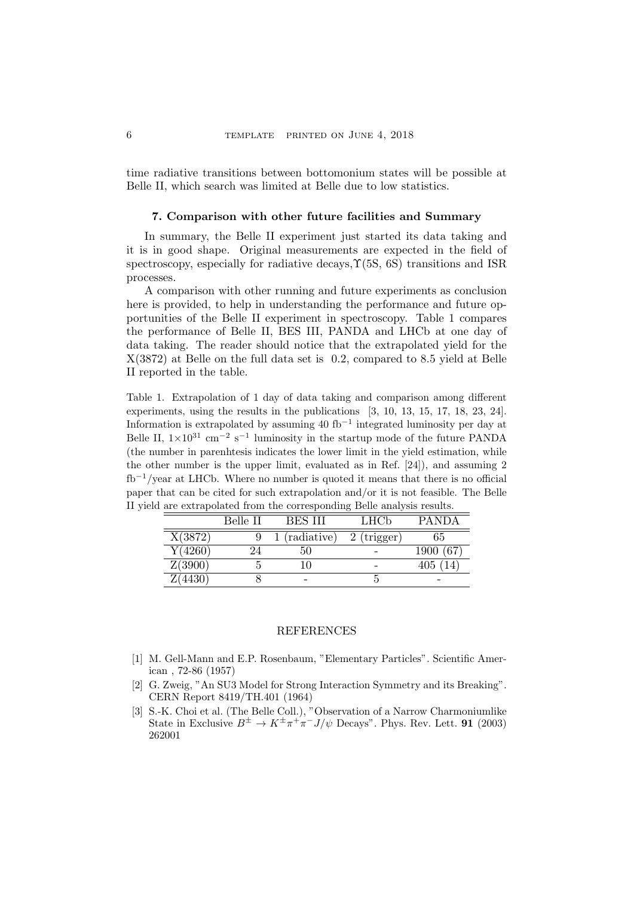time radiative transitions between bottomonium states will be possible at Belle II, which search was limited at Belle due to low statistics.

#### 7. Comparison with other future facilities and Summary

In summary, the Belle II experiment just started its data taking and it is in good shape. Original measurements are expected in the field of spectroscopy, especially for radiative decays,  $\Upsilon(5S, 6S)$  transitions and ISR processes.

A comparison with other running and future experiments as conclusion here is provided, to help in understanding the performance and future opportunities of the Belle II experiment in spectroscopy. Table 1 compares the performance of Belle II, BES III, PANDA and LHCb at one day of data taking. The reader should notice that the extrapolated yield for the X(3872) at Belle on the full data set is 0.2, compared to 8.5 yield at Belle II reported in the table.

Table 1. Extrapolation of 1 day of data taking and comparison among different experiments, using the results in the publications [3, 10, 13, 15, 17, 18, 23, 24]. Information is extrapolated by assuming 40 fb<sup>-1</sup> integrated luminosity per day at Belle II,  $1 \times 10^{31}$  cm<sup>-2</sup> s<sup>-1</sup> luminosity in the startup mode of the future PANDA (the number in parenhtesis indicates the lower limit in the yield estimation, while the other number is the upper limit, evaluated as in Ref. [24]), and assuming 2  $fb^{-1}/year$  at LHCb. Where no number is quoted it means that there is no official paper that can be cited for such extrapolation and/or it is not feasible. The Belle II yield are extrapolated from the corresponding Belle analysis results.

|                      | Belle II | <b>BES III</b>           | LHCh                  | <b>PANDA</b> |
|----------------------|----------|--------------------------|-----------------------|--------------|
| X(3872)              |          | (radiative)              | $2 \text{ (trigger)}$ | 65           |
| Y(4260)              | 24       | 50                       |                       | 67<br>1900   |
| Z(3900)              |          | 10                       |                       | 405          |
| $\overline{Z}(4430)$ |          | $\overline{\phantom{0}}$ |                       |              |

#### **REFERENCES**

- [1] M. Gell-Mann and E.P. Rosenbaum, "Elementary Particles". Scientific American , 72-86 (1957)
- [2] G. Zweig, "An SU3 Model for Strong Interaction Symmetry and its Breaking". CERN Report 8419/TH.401 (1964)
- [3] S.-K. Choi et al. (The Belle Coll.), "Observation of a Narrow Charmoniumlike State in Exclusive  $B^{\pm} \to K^{\pm} \pi^+ \pi^- J/\psi$  Decays". Phys. Rev. Lett. **91** (2003) 262001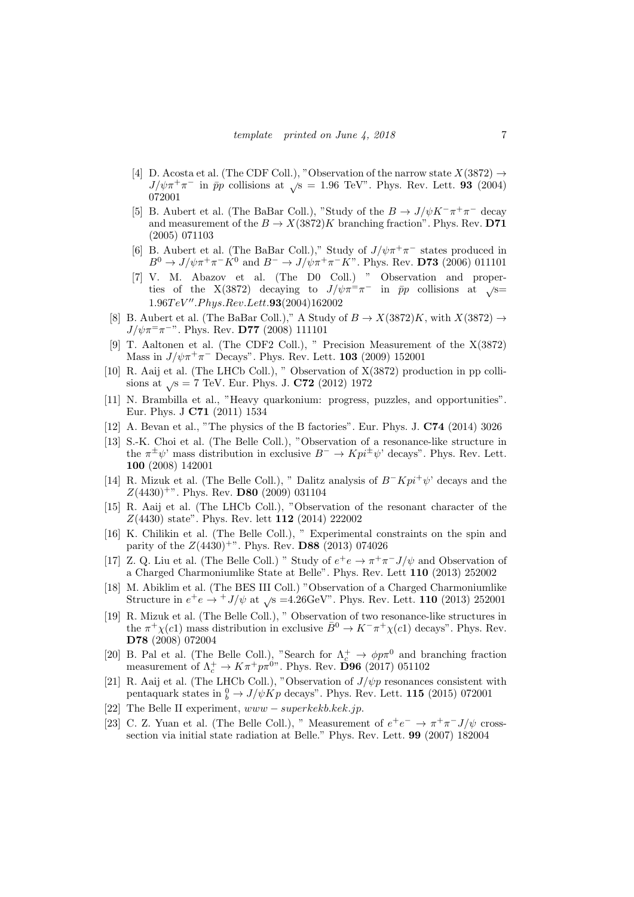- [4] D. Acosta et al. (The CDF Coll.), "Observation of the narrow state  $X(3872) \rightarrow$  $J/\psi \pi^+ \pi^-$  in  $\bar{p}p$  collisions at  $\sqrt{s} = 1.96$  TeV". Phys. Rev. Lett. **93** (2004) 072001
- [5] B. Aubert et al. (The BaBar Coll.), "Study of the  $B \to J/\psi K^-\pi^+\pi^-$  decay and measurement of the  $B \to X(3872)K$  branching fraction". Phys. Rev. D71 (2005) 071103
- [6] B. Aubert et al. (The BaBar Coll.)," Study of  $J/\psi \pi^+ \pi^-$  states produced in  $B^0 \to J/\psi \pi^+ \pi^- K^0$  and  $B^- \to J/\psi \pi^+ \pi^- K^{\prime\prime}$ . Phys. Rev. **D73** (2006) 011101
- [7] V. M. Abazov et al. (The D0 Coll.) " Observation and properties of the X(3872) decaying to  $J/\psi \pi = \pi^-$  in  $\bar{p}p$  collisions at  $\sqrt{s}$  $1.96 TeV''$ . Phys.Rev.Lett. $93(2004)162002$
- [8] B. Aubert et al. (The BaBar Coll.)," A Study of  $B \to X(3872)K$ , with  $X(3872) \to$  $J/\psi \pi = \pi^{-\nu}$ . Phys. Rev. D77 (2008) 111101
- [9] T. Aaltonen et al. (The CDF2 Coll.), " Precision Measurement of the X(3872) Mass in  $J/\psi \pi^+ \pi^-$  Decays". Phys. Rev. Lett. **103** (2009) 152001
- [10] R. Aaij et al. (The LHCb Coll.), " Observation of X(3872) production in pp collisions at  $\sqrt{s} = 7$  TeV. Eur. Phys. J. C72 (2012) 1972
- [11] N. Brambilla et al., "Heavy quarkonium: progress, puzzles, and opportunities". Eur. Phys. J C71 (2011) 1534
- [12] A. Bevan et al., "The physics of the B factories". Eur. Phys. J. C74 (2014) 3026
- [13] S.-K. Choi et al. (The Belle Coll.), "Observation of a resonance-like structure in the  $\pi^{\pm}\psi$ ' mass distribution in exclusive  $B^{-} \to Kpi^{\pm}\psi$ ' decays''. Phys. Rev. Lett. 100 (2008) 142001
- [14] R. Mizuk et al. (The Belle Coll.), " Dalitz analysis of  $B^-Kpi^+\psi$ ' decays and the  $Z(4430)^{+\nu}$ . Phys. Rev. **D80** (2009) 031104
- [15] R. Aaij et al. (The LHCb Coll.), "Observation of the resonant character of the  $Z(4430)$  state". Phys. Rev. lett  $112$  (2014) 222002
- [16] K. Chilikin et al. (The Belle Coll.), " Experimental constraints on the spin and parity of the  $Z(4430)^{+}$ ". Phys. Rev. **D88** (2013) 074026
- [17] Z. Q. Liu et al. (The Belle Coll.) " Study of  $e^+e \to \pi^+\pi^-J/\psi$  and Observation of a Charged Charmoniumlike State at Belle". Phys. Rev. Lett 110 (2013) 252002
- [18] M. Abiklim et al. (The BES III Coll.) "Observation of a Charged Charmoniumlike Structure in  $e^+e \rightarrow \pm J/\psi$  at  $\sqrt{s} = 4.26$ GeV". Phys. Rev. Lett. 110 (2013) 252001
- [19] R. Mizuk et al. (The Belle Coll.), " Observation of two resonance-like structures in the  $\pi^+\chi(c1)$  mass distribution in exclusive  $\bar{B}^0 \to K^-\pi^+\chi(c1)$  decays". Phys. Rev. D78 (2008) 072004
- [20] B. Pal et al. (The Belle Coll.), "Search for  $\Lambda_c^+ \to \phi p \pi^0$  and branching fraction measurement of  $\Lambda_c^+ \to K \pi^+ p \pi^0$ ". Phys. Rev. **D96** (2017) 051102
- [21] R. Aaij et al. (The LHCb Coll.), "Observation of  $J/\psi p$  resonances consistent with pentaquark states in  $\frac{0}{b} \rightarrow J/\psi K p$  decays". Phys. Rev. Lett. 115 (2015) 072001
- [22] The Belle II experiment,  $www-superkekb.kek.jp$ .
- [23] C. Z. Yuan et al. (The Belle Coll.), " Measurement of  $e^+e^- \to \pi^+\pi^-J/\psi$  crosssection via initial state radiation at Belle." Phys. Rev. Lett. 99 (2007) 182004